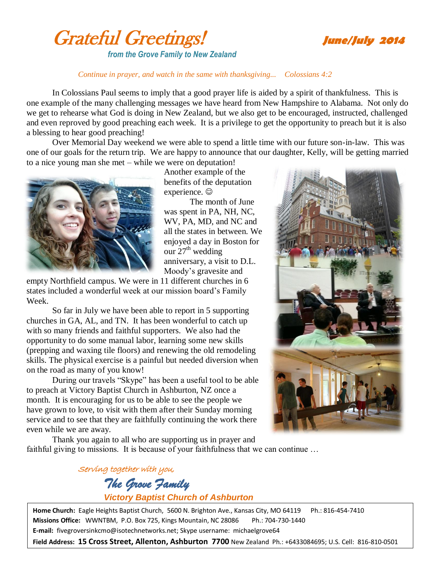



## *Continue in prayer, and watch in the same with thanksgiving... Colossians 4:2*

In Colossians Paul seems to imply that a good prayer life is aided by a spirit of thankfulness. This is one example of the many challenging messages we have heard from New Hampshire to Alabama. Not only do we get to rehearse what God is doing in New Zealand, but we also get to be encouraged, instructed, challenged and even reproved by good preaching each week. It is a privilege to get the opportunity to preach but it is also a blessing to hear good preaching!

Over Memorial Day weekend we were able to spend a little time with our future son-in-law. This was one of our goals for the return trip. We are happy to announce that our daughter, Kelly, will be getting married to a nice young man she met – while we were on deputation!



Another example of the benefits of the deputation experience.  $\odot$ 

The month of June was spent in PA, NH, NC, WV, PA, MD, and NC and all the states in between. We enjoyed a day in Boston for our  $27<sup>th</sup>$  wedding anniversary, a visit to D.L. Moody's gravesite and

empty Northfield campus. We were in 11 different churches in 6 states included a wonderful week at our mission board's Family Week.

So far in July we have been able to report in 5 supporting churches in GA, AL, and TN. It has been wonderful to catch up with so many friends and faithful supporters. We also had the opportunity to do some manual labor, learning some new skills (prepping and waxing tile floors) and renewing the old remodeling skills. The physical exercise is a painful but needed diversion when on the road as many of you know!

During our travels "Skype" has been a useful tool to be able to preach at Victory Baptist Church in Ashburton, NZ once a month. It is encouraging for us to be able to see the people we have grown to love, to visit with them after their Sunday morning service and to see that they are faithfully continuing the work there even while we are away.



Thank you again to all who are supporting us in prayer and faithful giving to missions. It is because of your faithfulness that we can continue …

# Serving together with you, *The Grove Family Victory Baptist Church of Ashburton*

**Home Church:** Eagle Heights Baptist Church, 5600 N. Brighton Ave., Kansas City, MO 64119 Ph.: 816-454-7410 **Missions Office:** WWNTBM, P.O. Box 725, Kings Mountain, NC 28086 Ph.: 704-730-1440 **E-mail:** fivegroversinkcmo@isotechnetworks.net; Skype username: michaelgrove64

**Field Address: 15 Cross Street, Allenton, Ashburton 7700** New Zealand Ph.: +6433084695; U.S. Cell: 816-810-0501